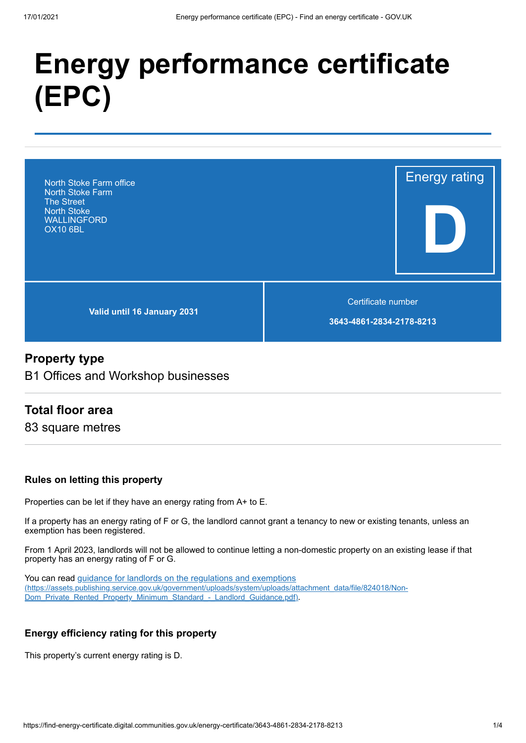# **Energy performance certificate (EPC)**



# **Property type**

B1 Offices and Workshop businesses

## **Total floor area**

83 square metres

#### **Rules on letting this property**

Properties can be let if they have an energy rating from A+ to E.

If a property has an energy rating of F or G, the landlord cannot grant a tenancy to new or existing tenants, unless an exemption has been registered.

From 1 April 2023, landlords will not be allowed to continue letting a non-domestic property on an existing lease if that property has an energy rating of F or G.

You can read guidance for landlords on the regulations and exemptions [\(https://assets.publishing.service.gov.uk/government/uploads/system/uploads/attachment\\_data/file/824018/Non-](https://assets.publishing.service.gov.uk/government/uploads/system/uploads/attachment_data/file/824018/Non-Dom_Private_Rented_Property_Minimum_Standard_-_Landlord_Guidance.pdf)Dom\_Private\_Rented\_Property\_Minimum\_Standard\_-\_Landlord\_Guidance.pdf).

#### **Energy efficiency rating for this property**

This property's current energy rating is D.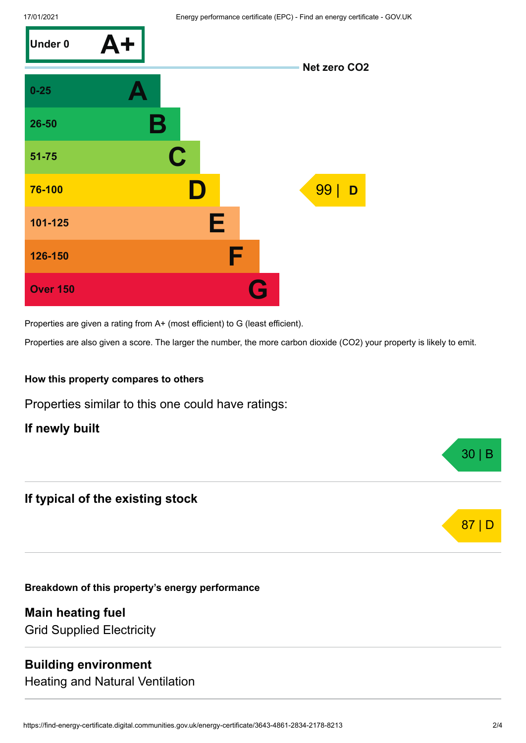

Properties are given a rating from A+ (most efficient) to G (least efficient).

Properties are also given a score. The larger the number, the more carbon dioxide (CO2) your property is likely to emit.

#### **How this property compares to others**

Properties similar to this one could have ratings:

#### **If newly built**

# **If typical of the existing stock**

**Breakdown of this property's energy performance**

**Main heating fuel** Grid Supplied Electricity

## **Building environment**

Heating and Natural Ventilation



30 | B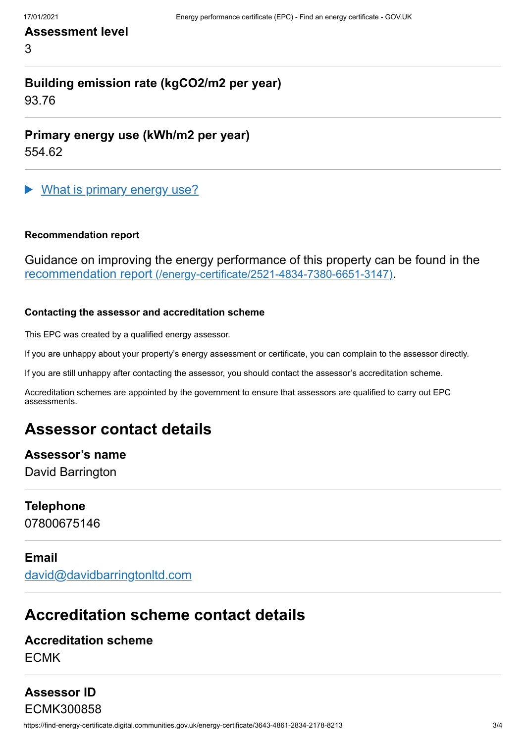## **Assessment level**

3

# **Building emission rate (kgCO2/m2 per year)**

93.76

**Primary energy use (kWh/m2 per year)**

554.62

What is primary energy use?

#### **Recommendation report**

Guidance on improving the energy performance of this property can be found in the recommendation report [\(/energy-certificate/2521-4834-7380-6651-3147\)](https://find-energy-certificate.digital.communities.gov.uk/energy-certificate/2521-4834-7380-6651-3147).

#### **Contacting the assessor and accreditation scheme**

This EPC was created by a qualified energy assessor.

If you are unhappy about your property's energy assessment or certificate, you can complain to the assessor directly.

If you are still unhappy after contacting the assessor, you should contact the assessor's accreditation scheme.

Accreditation schemes are appointed by the government to ensure that assessors are qualified to carry out EPC assessments.

# **Assessor contact details**

# **Assessor's name**

David Barrington

#### **Telephone**

07800675146

#### **Email**

[david@davidbarringtonltd.com](mailto:david@davidbarringtonltd.com)

# **Accreditation scheme contact details**

## **Accreditation scheme** ECMK

# **Assessor ID**

https://find-energy-certificate.digital.communities.gov.uk/energy-certificate/3643-4861-2834-2178-8213 3/4 ECMK300858